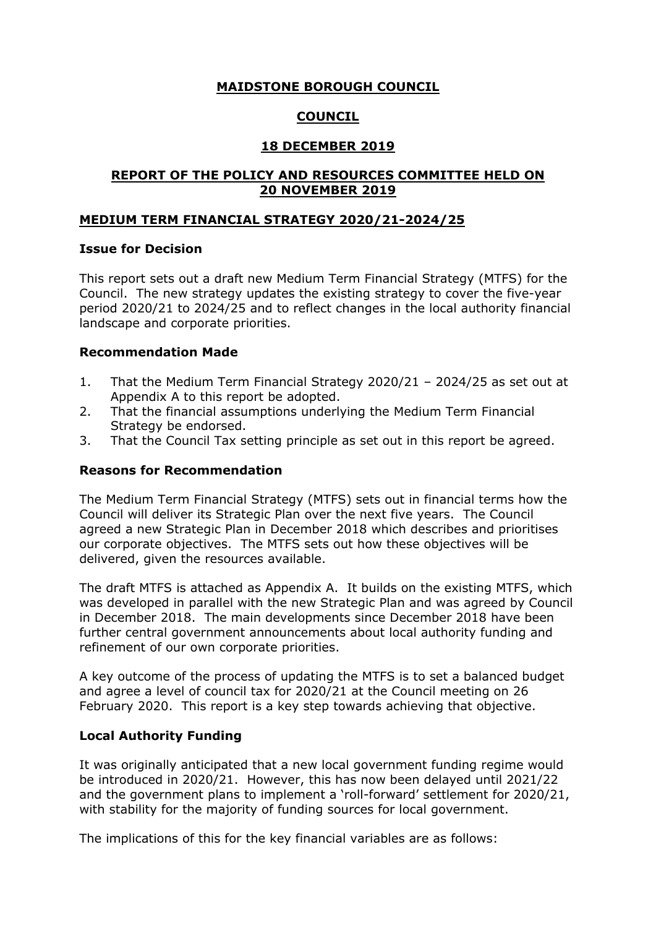# **MAIDSTONE BOROUGH COUNCIL**

# **COUNCIL**

# **18 DECEMBER 2019**

## **REPORT OF THE POLICY AND RESOURCES COMMITTEE HELD ON 20 NOVEMBER 2019**

## **MEDIUM TERM FINANCIAL STRATEGY 2020/21-2024/25**

#### **Issue for Decision**

This report sets out a draft new Medium Term Financial Strategy (MTFS) for the Council. The new strategy updates the existing strategy to cover the five-year period 2020/21 to 2024/25 and to reflect changes in the local authority financial landscape and corporate priorities.

#### **Recommendation Made**

- 1. That the Medium Term Financial Strategy 2020/21 2024/25 as set out at Appendix A to this report be adopted.
- 2. That the financial assumptions underlying the Medium Term Financial Strategy be endorsed.
- 3. That the Council Tax setting principle as set out in this report be agreed.

#### **Reasons for Recommendation**

The Medium Term Financial Strategy (MTFS) sets out in financial terms how the Council will deliver its Strategic Plan over the next five years. The Council agreed a new Strategic Plan in December 2018 which describes and prioritises our corporate objectives. The MTFS sets out how these objectives will be delivered, given the resources available.

The draft MTFS is attached as Appendix A. It builds on the existing MTFS, which was developed in parallel with the new Strategic Plan and was agreed by Council in December 2018. The main developments since December 2018 have been further central government announcements about local authority funding and refinement of our own corporate priorities.

A key outcome of the process of updating the MTFS is to set a balanced budget and agree a level of council tax for 2020/21 at the Council meeting on 26 February 2020. This report is a key step towards achieving that objective.

## **Local Authority Funding**

It was originally anticipated that a new local government funding regime would be introduced in 2020/21. However, this has now been delayed until 2021/22 and the government plans to implement a 'roll-forward' settlement for 2020/21, with stability for the majority of funding sources for local government.

The implications of this for the key financial variables are as follows: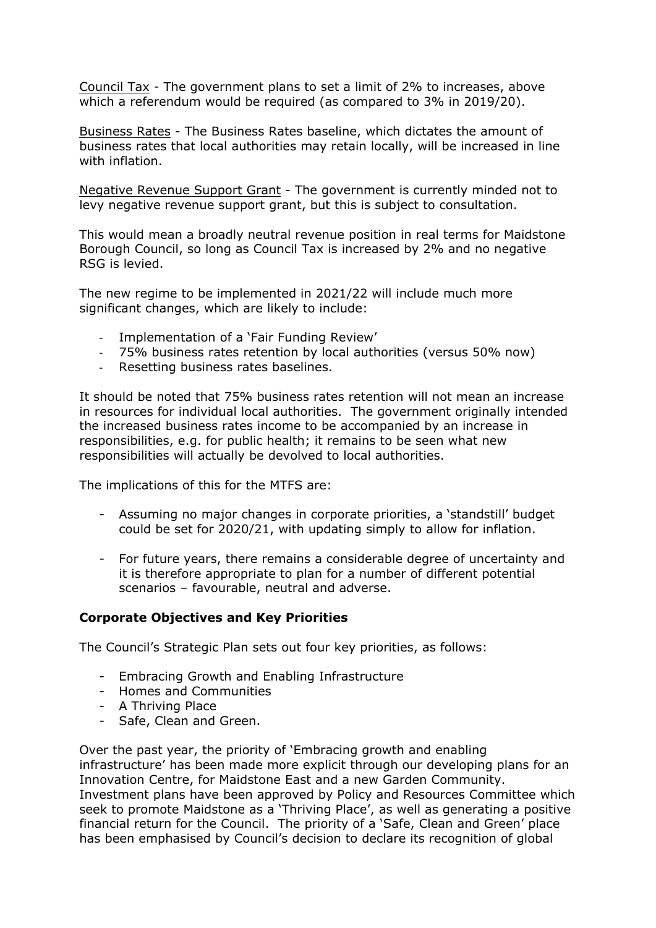Council Tax - The government plans to set a limit of 2% to increases, above which a referendum would be required (as compared to 3% in 2019/20).

Business Rates - The Business Rates baseline, which dictates the amount of business rates that local authorities may retain locally, will be increased in line with inflation.

Negative Revenue Support Grant - The government is currently minded not to levy negative revenue support grant, but this is subject to consultation.

This would mean a broadly neutral revenue position in real terms for Maidstone Borough Council, so long as Council Tax is increased by 2% and no negative RSG is levied.

The new regime to be implemented in 2021/22 will include much more significant changes, which are likely to include:

- Implementation of a 'Fair Funding Review'
- 75% business rates retention by local authorities (versus 50% now)
- Resetting business rates baselines.

It should be noted that 75% business rates retention will not mean an increase in resources for individual local authorities. The government originally intended the increased business rates income to be accompanied by an increase in responsibilities, e.g. for public health; it remains to be seen what new responsibilities will actually be devolved to local authorities.

The implications of this for the MTFS are:

- Assuming no major changes in corporate priorities, a 'standstill' budget could be set for 2020/21, with updating simply to allow for inflation.
- For future years, there remains a considerable degree of uncertainty and it is therefore appropriate to plan for a number of different potential scenarios – favourable, neutral and adverse.

## **Corporate Objectives and Key Priorities**

The Council's Strategic Plan sets out four key priorities, as follows:

- Embracing Growth and Enabling Infrastructure
- Homes and Communities
- A Thriving Place
- Safe, Clean and Green.

Over the past year, the priority of 'Embracing growth and enabling infrastructure' has been made more explicit through our developing plans for an Innovation Centre, for Maidstone East and a new Garden Community. Investment plans have been approved by Policy and Resources Committee which seek to promote Maidstone as a 'Thriving Place', as well as generating a positive financial return for the Council. The priority of a 'Safe, Clean and Green' place has been emphasised by Council's decision to declare its recognition of global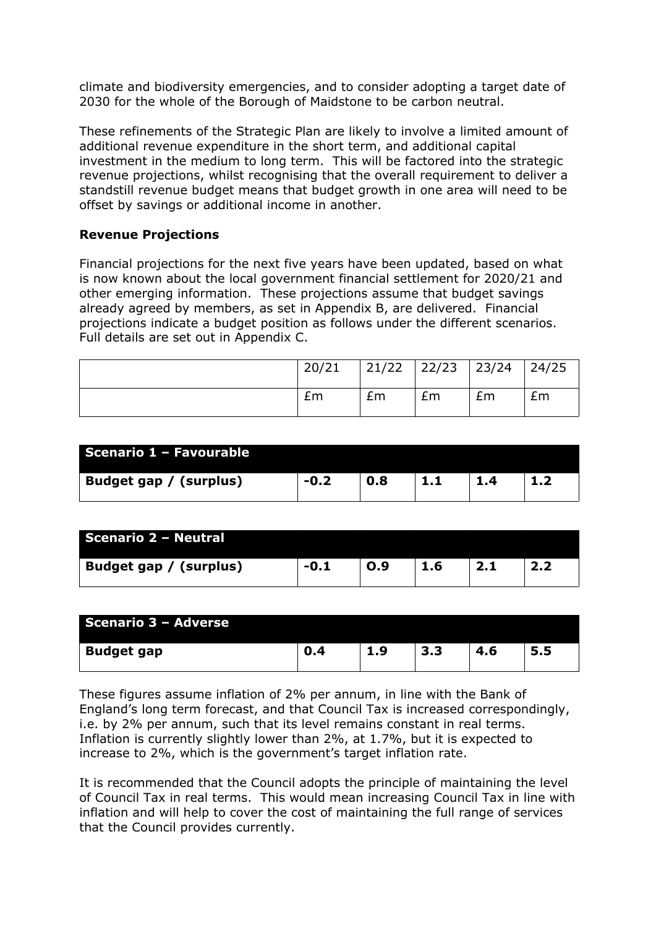climate and biodiversity emergencies, and to consider adopting a target date of 2030 for the whole of the Borough of Maidstone to be carbon neutral.

These refinements of the Strategic Plan are likely to involve a limited amount of additional revenue expenditure in the short term, and additional capital investment in the medium to long term. This will be factored into the strategic revenue projections, whilst recognising that the overall requirement to deliver a standstill revenue budget means that budget growth in one area will need to be offset by savings or additional income in another.

## **Revenue Projections**

Financial projections for the next five years have been updated, based on what is now known about the local government financial settlement for 2020/21 and other emerging information. These projections assume that budget savings already agreed by members, as set in Appendix B, are delivered. Financial projections indicate a budget position as follows under the different scenarios. Full details are set out in Appendix C.

| 20/21 |    | 21/22   22/23   23/24   24/25 |    |    |
|-------|----|-------------------------------|----|----|
| £m    | Em | Em                            | £m | Em |

| Scenario 1 - Favourable |        |     |           |                |  |
|-------------------------|--------|-----|-----------|----------------|--|
| Budget gap / (surplus)  | $-0.2$ | 0.8 | المتواطئة | $\mathbf{1.4}$ |  |

| Scenario 2 - Neutral   |        |     |     |     |  |
|------------------------|--------|-----|-----|-----|--|
| Budget gap / (surplus) | $-0.1$ | O.9 | 1.6 | 2.1 |  |

| Scenario 3 - Adverse |     |     |     |     |     |
|----------------------|-----|-----|-----|-----|-----|
| <b>Budget gap</b>    | 0.4 | 1.9 | 3.3 | 4.6 | 5.5 |

These figures assume inflation of 2% per annum, in line with the Bank of England's long term forecast, and that Council Tax is increased correspondingly, i.e. by 2% per annum, such that its level remains constant in real terms. Inflation is currently slightly lower than 2%, at 1.7%, but it is expected to increase to 2%, which is the government's target inflation rate.

It is recommended that the Council adopts the principle of maintaining the level of Council Tax in real terms. This would mean increasing Council Tax in line with inflation and will help to cover the cost of maintaining the full range of services that the Council provides currently.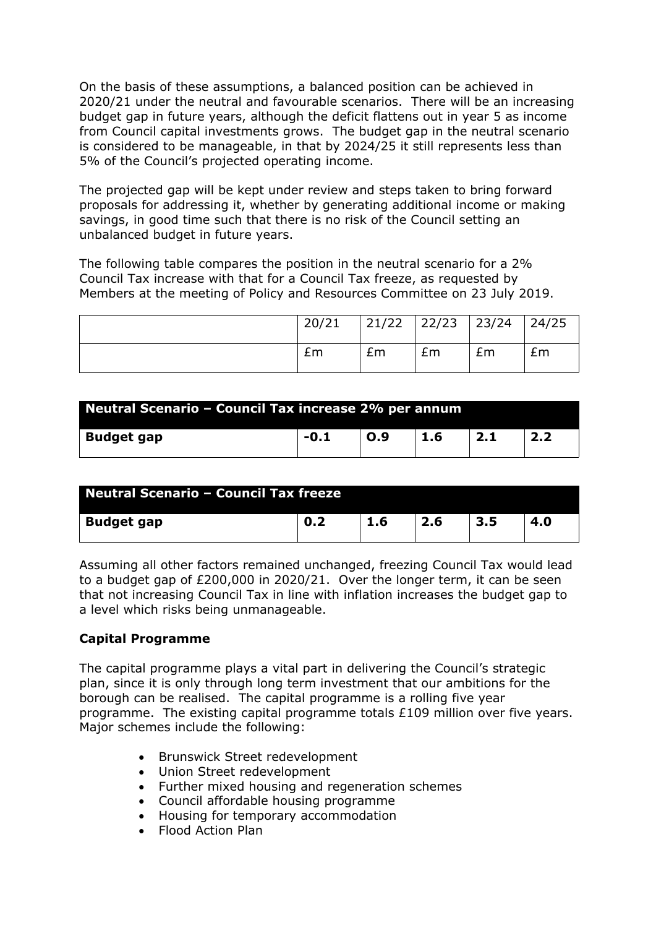On the basis of these assumptions, a balanced position can be achieved in 2020/21 under the neutral and favourable scenarios. There will be an increasing budget gap in future years, although the deficit flattens out in year 5 as income from Council capital investments grows. The budget gap in the neutral scenario is considered to be manageable, in that by 2024/25 it still represents less than 5% of the Council's projected operating income.

The projected gap will be kept under review and steps taken to bring forward proposals for addressing it, whether by generating additional income or making savings, in good time such that there is no risk of the Council setting an unbalanced budget in future years.

The following table compares the position in the neutral scenario for a 2% Council Tax increase with that for a Council Tax freeze, as requested by Members at the meeting of Policy and Resources Committee on 23 July 2019.

| 20/21 |    | $21/22$ $22/23$ $23/24$ |    | 24/25 |
|-------|----|-------------------------|----|-------|
| £m    | £m | £m                      | £m | Em    |

| Neutral Scenario - Council Tax increase 2% per annum |      |     |     |     |     |  |
|------------------------------------------------------|------|-----|-----|-----|-----|--|
| <b>Budget gap</b>                                    | -0.1 | O.9 | 1.6 | 2.1 | 2.2 |  |

| Neutral Scenario - Council Tax freeze |     |     |     |     |     |  |
|---------------------------------------|-----|-----|-----|-----|-----|--|
| <b>Budget gap</b>                     | 0.2 | 1.6 | 2.6 | 3.5 | 4.0 |  |

Assuming all other factors remained unchanged, freezing Council Tax would lead to a budget gap of £200,000 in 2020/21. Over the longer term, it can be seen that not increasing Council Tax in line with inflation increases the budget gap to a level which risks being unmanageable.

## **Capital Programme**

The capital programme plays a vital part in delivering the Council's strategic plan, since it is only through long term investment that our ambitions for the borough can be realised. The capital programme is a rolling five year programme. The existing capital programme totals £109 million over five years. Major schemes include the following:

- Brunswick Street redevelopment
- Union Street redevelopment
- Further mixed housing and regeneration schemes
- Council affordable housing programme
- Housing for temporary accommodation
- Flood Action Plan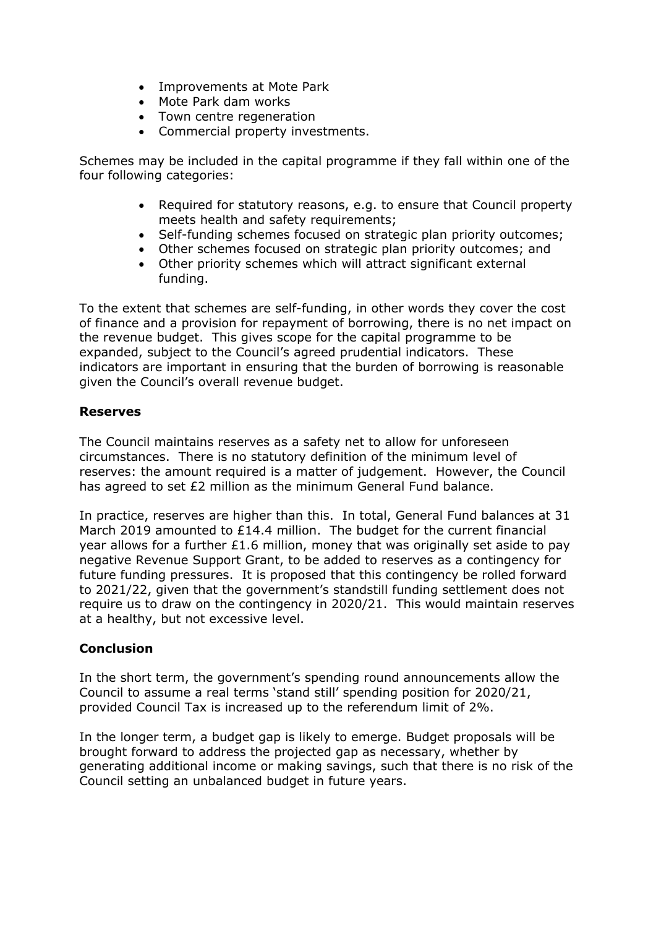- Improvements at Mote Park
- Mote Park dam works
- Town centre regeneration
- Commercial property investments.

Schemes may be included in the capital programme if they fall within one of the four following categories:

- Required for statutory reasons, e.g. to ensure that Council property meets health and safety requirements;
- Self-funding schemes focused on strategic plan priority outcomes;
- Other schemes focused on strategic plan priority outcomes; and
- Other priority schemes which will attract significant external funding.

To the extent that schemes are self-funding, in other words they cover the cost of finance and a provision for repayment of borrowing, there is no net impact on the revenue budget. This gives scope for the capital programme to be expanded, subject to the Council's agreed prudential indicators. These indicators are important in ensuring that the burden of borrowing is reasonable given the Council's overall revenue budget.

#### **Reserves**

The Council maintains reserves as a safety net to allow for unforeseen circumstances. There is no statutory definition of the minimum level of reserves: the amount required is a matter of judgement. However, the Council has agreed to set £2 million as the minimum General Fund balance.

In practice, reserves are higher than this. In total, General Fund balances at 31 March 2019 amounted to £14.4 million. The budget for the current financial year allows for a further £1.6 million, money that was originally set aside to pay negative Revenue Support Grant, to be added to reserves as a contingency for future funding pressures. It is proposed that this contingency be rolled forward to 2021/22, given that the government's standstill funding settlement does not require us to draw on the contingency in 2020/21. This would maintain reserves at a healthy, but not excessive level.

## **Conclusion**

In the short term, the government's spending round announcements allow the Council to assume a real terms 'stand still' spending position for 2020/21, provided Council Tax is increased up to the referendum limit of 2%.

In the longer term, a budget gap is likely to emerge. Budget proposals will be brought forward to address the projected gap as necessary, whether by generating additional income or making savings, such that there is no risk of the Council setting an unbalanced budget in future years.